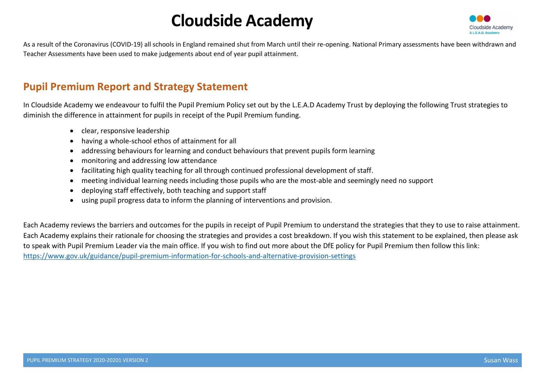

As a result of the Coronavirus (COVID-19) all schools in England remained shut from March until their re-opening. National Primary assessments have been withdrawn and Teacher Assessments have been used to make judgements about end of year pupil attainment.

## Pupil Premium Report and Strategy Statement

In Cloudside Academy we endeavour to fulfil the Pupil Premium Policy set out by the L.E.A.D Academy Trust by deploying the following Trust strategies to diminish the difference in attainment for pupils in receipt of the Pupil Premium funding.

- clear, responsive leadership
- having a whole-school ethos of attainment for all
- addressing behaviours for learning and conduct behaviours that prevent pupils form learning
- monitoring and addressing low attendance
- facilitating high quality teaching for all through continued professional development of staff.
- meeting individual learning needs including those pupils who are the most-able and seemingly need no support
- deploying staff effectively, both teaching and support staff
- using pupil progress data to inform the planning of interventions and provision.

Each Academy reviews the barriers and outcomes for the pupils in receipt of Pupil Premium to understand the strategies that they to use to raise attainment. Each Academy explains their rationale for choosing the strategies and provides a cost breakdown. If you wish this statement to be explained, then please ask to speak with Pupil Premium Leader via the main office. If you wish to find out more about the DfE policy for Pupil Premium then follow this link: https://www.gov.uk/guidance/pupil-premium-information-for-schools-and-alternative-provision-settings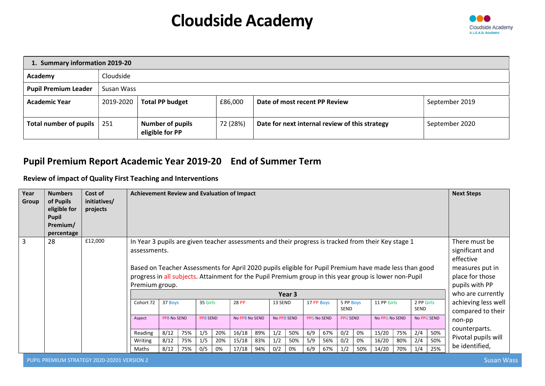

|                             | 1. Summary information 2019-20 |                                            |          |                                                |                |  |  |  |  |  |  |  |  |  |  |
|-----------------------------|--------------------------------|--------------------------------------------|----------|------------------------------------------------|----------------|--|--|--|--|--|--|--|--|--|--|
| Academy                     | Cloudside                      |                                            |          |                                                |                |  |  |  |  |  |  |  |  |  |  |
| <b>Pupil Premium Leader</b> | Susan Wass                     |                                            |          |                                                |                |  |  |  |  |  |  |  |  |  |  |
| <b>Academic Year</b>        | 2019-2020                      | <b>Total PP budget</b>                     | £86,000  | Date of most recent PP Review                  | September 2019 |  |  |  |  |  |  |  |  |  |  |
| Total number of pupils      | 251                            | <b>Number of pupils</b><br>eligible for PP | 72 (28%) | Date for next internal review of this strategy | September 2020 |  |  |  |  |  |  |  |  |  |  |

### Pupil Premium Report Academic Year 2019-20 End of Summer Term

Review of impact of Quality First Teaching and Interventions

| Year<br>Group  | <b>Numbers</b><br>of Pupils<br>eligible for<br>Pupil<br>Premium/<br>percentage | Cost of<br>initiatives/<br>projects | <b>Achievement Review and Evaluation of Impact</b>                                                                                                                                                                                                                                                                                                        |                                                                                                                                                         |     |          |    |       |     |         |        |            |     |                          |     |                     |        |                           |     | <b>Next Steps</b>                                                                                     |
|----------------|--------------------------------------------------------------------------------|-------------------------------------|-----------------------------------------------------------------------------------------------------------------------------------------------------------------------------------------------------------------------------------------------------------------------------------------------------------------------------------------------------------|---------------------------------------------------------------------------------------------------------------------------------------------------------|-----|----------|----|-------|-----|---------|--------|------------|-----|--------------------------|-----|---------------------|--------|---------------------------|-----|-------------------------------------------------------------------------------------------------------|
| $\overline{3}$ | 28                                                                             | £12,000                             | In Year 3 pupils are given teacher assessments and their progress is tracked from their Key stage 1<br>assessments.<br>Based on Teacher Assessments for April 2020 pupils eligible for Pupil Premium have made less than good<br>progress in all subjects. Attainment for the Pupil Premium group in this year group is lower non-Pupil<br>Premium group. |                                                                                                                                                         |     |          |    |       |     |         |        |            |     |                          |     |                     |        |                           |     | There must be<br>significant and<br>effective<br>measures put in<br>place for those<br>pupils with PP |
|                |                                                                                |                                     |                                                                                                                                                                                                                                                                                                                                                           |                                                                                                                                                         |     |          |    |       |     |         | Year 3 |            |     |                          |     |                     |        |                           |     | who are currently                                                                                     |
|                |                                                                                |                                     | Cohort 72                                                                                                                                                                                                                                                                                                                                                 | 37 Boys                                                                                                                                                 |     | 35 Girls |    | 28 PP |     | 13 SEND |        | 17 PP Boys |     | 5 PP Boys<br><b>SEND</b> |     | 11 PP Girls         |        | 2 PP Girls<br><b>SEND</b> |     | achieving less well<br>compared to their                                                              |
|                |                                                                                |                                     | Aspect                                                                                                                                                                                                                                                                                                                                                    | <b>No PPB SEND</b><br>No PPG SEND<br><b>PPB No SEND</b><br><b>PPB SEND</b><br>No PPB No SEND<br><b>PPG No SEND</b><br><b>PPG SEND</b><br>No PPG No SEND |     |          |    |       |     |         |        |            |     |                          |     |                     | non-pp |                           |     |                                                                                                       |
|                |                                                                                |                                     | Reading                                                                                                                                                                                                                                                                                                                                                   | 50%<br>8/12<br>20%<br>89%<br>0/2<br>75%<br>1/5<br>16/18<br>67%<br>15/20<br>75%<br>2/4<br>1/2<br>50%<br>6/9<br>0%                                        |     |          |    |       |     |         |        |            |     |                          |     | counterparts.       |        |                           |     |                                                                                                       |
|                |                                                                                |                                     | Writing                                                                                                                                                                                                                                                                                                                                                   | 50%<br>0/2<br>8/12<br>15/18<br>83%<br>5/9<br>16/20<br>2/4<br>75%<br>1/5<br>20%<br>1/2<br>50%<br>56%<br>80%<br>0%                                        |     |          |    |       |     |         |        |            |     |                          |     | Pivotal pupils will |        |                           |     |                                                                                                       |
|                |                                                                                |                                     | Maths                                                                                                                                                                                                                                                                                                                                                     | 8/12                                                                                                                                                    | 75% | 0/5      | 0% | 17/18 | 94% | 0/2     | 0%     | 6/9        | 67% | 1/2                      | 50% | 14/20               | 70%    | 1/4                       | 25% | be identified,                                                                                        |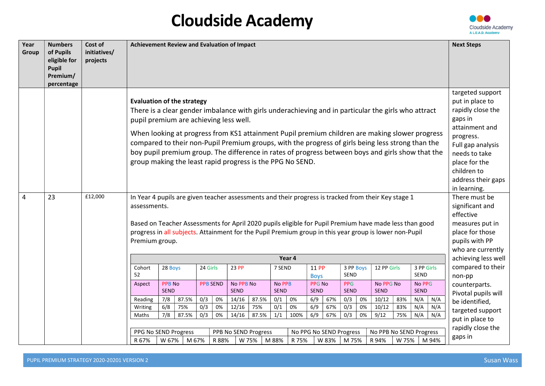

| Year  | <b>Numbers</b>                                                      | Cost of                  |                                                                                                                                                                                                                                                                                                                                                                        | Achievement Review and Evaluation of Impact                                                                                                                                                                     |              |            |          |                |              |            |          |                      |            |                   | <b>Next Steps</b> |                                      |            |                                                                                                                                                                                                                                                                                                          |                                                                                                                                                                                                                                                                 |
|-------|---------------------------------------------------------------------|--------------------------|------------------------------------------------------------------------------------------------------------------------------------------------------------------------------------------------------------------------------------------------------------------------------------------------------------------------------------------------------------------------|-----------------------------------------------------------------------------------------------------------------------------------------------------------------------------------------------------------------|--------------|------------|----------|----------------|--------------|------------|----------|----------------------|------------|-------------------|-------------------|--------------------------------------|------------|----------------------------------------------------------------------------------------------------------------------------------------------------------------------------------------------------------------------------------------------------------------------------------------------------------|-----------------------------------------------------------------------------------------------------------------------------------------------------------------------------------------------------------------------------------------------------------------|
| Group | of Pupils<br>eligible for<br><b>Pupil</b><br>Premium/<br>percentage | initiatives/<br>projects |                                                                                                                                                                                                                                                                                                                                                                        |                                                                                                                                                                                                                 |              |            |          |                |              |            |          |                      |            |                   |                   |                                      |            |                                                                                                                                                                                                                                                                                                          |                                                                                                                                                                                                                                                                 |
| 4     | 23                                                                  | £12,000                  | <b>Evaluation of the strategy</b><br>There is a clear gender imbalance with girls underachieving and in particular the girls who attract<br>pupil premium are achieving less well.<br>group making the least rapid progress is the PPG No SEND.<br>In Year 4 pupils are given teacher assessments and their progress is tracked from their Key stage 1<br>assessments. |                                                                                                                                                                                                                 |              |            |          |                |              |            |          |                      |            |                   |                   |                                      |            | When looking at progress from KS1 attainment Pupil premium children are making slower progress<br>compared to their non-Pupil Premium groups, with the progress of girls being less strong than the<br>boy pupil premium group. The difference in rates of progress between boys and girls show that the | targeted support<br>put in place to<br>rapidly close the<br>gaps in<br>attainment and<br>progress.<br>Full gap analysis<br>needs to take<br>place for the<br>children to<br>address their gaps<br>in learning.<br>There must be<br>significant and<br>effective |
|       |                                                                     |                          | Based on Teacher Assessments for April 2020 pupils eligible for Pupil Premium have made less than good<br>progress in all subjects. Attainment for the Pupil Premium group in this year group is lower non-Pupil<br>Premium group.                                                                                                                                     |                                                                                                                                                                                                                 |              |            |          |                |              |            |          |                      |            |                   |                   |                                      |            |                                                                                                                                                                                                                                                                                                          | measures put in<br>place for those<br>pupils with PP<br>who are currently                                                                                                                                                                                       |
|       |                                                                     |                          |                                                                                                                                                                                                                                                                                                                                                                        |                                                                                                                                                                                                                 |              |            |          |                |              |            | Year 4   |                      |            |                   |                   |                                      |            |                                                                                                                                                                                                                                                                                                          | achieving less well                                                                                                                                                                                                                                             |
|       |                                                                     |                          | Cohort<br>52                                                                                                                                                                                                                                                                                                                                                           | 28 Boys                                                                                                                                                                                                         |              | 24 Girls   |          | 23 PP          |              | 7 SEND     |          | 11 PP<br><b>Boys</b> |            | 3 PP Boys<br>SEND |                   | 12 PP Girls                          |            | 3 PP Girls<br>SEND                                                                                                                                                                                                                                                                                       | compared to their<br>non-pp                                                                                                                                                                                                                                     |
|       |                                                                     |                          | Aspect                                                                                                                                                                                                                                                                                                                                                                 | No PPB No<br>No PPB<br><b>PPB No</b><br><b>PPB SEND</b><br><b>PPG No</b><br><b>PPG</b><br>No PPG No<br>No PPG<br><b>SEND</b><br><b>SEND</b><br><b>SEND</b><br>SEND<br><b>SEND</b><br><b>SEND</b><br><b>SEND</b> |              |            |          |                |              |            |          |                      |            |                   |                   | counterparts.<br>Pivotal pupils will |            |                                                                                                                                                                                                                                                                                                          |                                                                                                                                                                                                                                                                 |
|       |                                                                     |                          | Reading                                                                                                                                                                                                                                                                                                                                                                | 7/8<br>6/8                                                                                                                                                                                                      | 87.5%<br>75% | 0/3        | 0%<br>0% | 14/16<br>12/16 | 87.5%        | 0/1        | 0%<br>0% | 6/9                  | 67%<br>67% | 0/3<br>0/3        | 0%                | 10/12                                | 83%        | N/A<br>N/A                                                                                                                                                                                                                                                                                               | be identified,                                                                                                                                                                                                                                                  |
|       |                                                                     |                          | Writing<br>Maths                                                                                                                                                                                                                                                                                                                                                       | $\overline{7/8}$                                                                                                                                                                                                | 87.5%        | 0/3<br>0/3 | 0%       | 14/16          | 75%<br>87.5% | 0/1<br>1/1 | 100%     | 6/9<br>6/9           | 67%        | $\overline{0/3}$  | 0%<br>0%          | 10/12<br>9/12                        | 83%<br>75% | N/A<br>N/A<br>N/A<br>N/A                                                                                                                                                                                                                                                                                 | targeted support                                                                                                                                                                                                                                                |
|       |                                                                     |                          |                                                                                                                                                                                                                                                                                                                                                                        |                                                                                                                                                                                                                 |              |            |          |                |              |            |          |                      |            |                   |                   |                                      |            |                                                                                                                                                                                                                                                                                                          | put in place to                                                                                                                                                                                                                                                 |
|       |                                                                     |                          |                                                                                                                                                                                                                                                                                                                                                                        | PPG No SEND Progress<br>PPB No SEND Progress<br>No PPG No SEND Progress<br>No PPB No SEND Progress                                                                                                              |              |            |          |                |              |            |          |                      |            |                   |                   | rapidly close the                    |            |                                                                                                                                                                                                                                                                                                          |                                                                                                                                                                                                                                                                 |
|       |                                                                     |                          | R 67%                                                                                                                                                                                                                                                                                                                                                                  | W 67%                                                                                                                                                                                                           |              | M 67%      | R 88%    |                | W 75%        | M 88%      | R 75%    |                      | W 83%      | M 75%             |                   | R 94%                                | W 75%      | M 94%                                                                                                                                                                                                                                                                                                    | gaps in                                                                                                                                                                                                                                                         |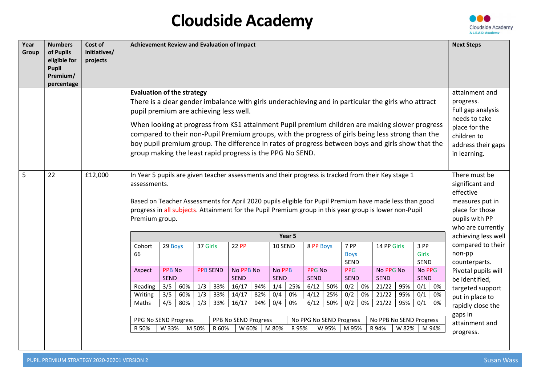

| Year<br>Group | <b>Numbers</b><br>of Pupils<br>eligible for<br>Pupil<br>Premium/<br>percentage | Cost of<br>initiatives/<br>projects | Achievement Review and Evaluation of Impact                                                                                                                                                                                                                                                                                                               |                                                                                                                                                                                                                                                                                                                                                                                                                                                                                                                                                             |            |            |                 |                                 |            |                              |          |                              |            |                             |                                                                                                                                         |                           |            |                        | <b>Next Steps</b>                                                                                                          |
|---------------|--------------------------------------------------------------------------------|-------------------------------------|-----------------------------------------------------------------------------------------------------------------------------------------------------------------------------------------------------------------------------------------------------------------------------------------------------------------------------------------------------------|-------------------------------------------------------------------------------------------------------------------------------------------------------------------------------------------------------------------------------------------------------------------------------------------------------------------------------------------------------------------------------------------------------------------------------------------------------------------------------------------------------------------------------------------------------------|------------|------------|-----------------|---------------------------------|------------|------------------------------|----------|------------------------------|------------|-----------------------------|-----------------------------------------------------------------------------------------------------------------------------------------|---------------------------|------------|------------------------|----------------------------------------------------------------------------------------------------------------------------|
|               |                                                                                |                                     |                                                                                                                                                                                                                                                                                                                                                           | <b>Evaluation of the strategy</b><br>There is a clear gender imbalance with girls underachieving and in particular the girls who attract<br>pupil premium are achieving less well.<br>When looking at progress from KS1 attainment Pupil premium children are making slower progress<br>compared to their non-Pupil Premium groups, with the progress of girls being less strong than the<br>boy pupil premium group. The difference in rates of progress between boys and girls show that the<br>group making the least rapid progress is the PPG No SEND. |            |            |                 |                                 |            |                              |          |                              |            |                             | attainment and<br>progress.<br>Full gap analysis<br>needs to take<br>place for the<br>children to<br>address their gaps<br>in learning. |                           |            |                        |                                                                                                                            |
| 5             | 22                                                                             | £12,000                             | In Year 5 pupils are given teacher assessments and their progress is tracked from their Key stage 1<br>assessments.<br>Based on Teacher Assessments for April 2020 pupils eligible for Pupil Premium have made less than good<br>progress in all subjects. Attainment for the Pupil Premium group in this year group is lower non-Pupil<br>Premium group. |                                                                                                                                                                                                                                                                                                                                                                                                                                                                                                                                                             |            |            |                 |                                 |            |                              |          |                              |            |                             |                                                                                                                                         |                           |            |                        | There must be<br>significant and<br>effective<br>measures put in<br>place for those<br>pupils with PP<br>who are currently |
|               |                                                                                |                                     |                                                                                                                                                                                                                                                                                                                                                           |                                                                                                                                                                                                                                                                                                                                                                                                                                                                                                                                                             |            |            |                 |                                 |            |                              | Year 5   |                              |            |                             |                                                                                                                                         |                           |            |                        | achieving less well                                                                                                        |
|               |                                                                                |                                     | Cohort<br>66                                                                                                                                                                                                                                                                                                                                              | 29 Boys                                                                                                                                                                                                                                                                                                                                                                                                                                                                                                                                                     |            | 37 Girls   |                 | 22 PP                           |            | 10 SEND                      |          | 8 PP Boys                    |            | 7 PP<br><b>Boys</b><br>SEND |                                                                                                                                         | 14 PP Girls               |            | 3 PP<br>Girls<br>SEND  | compared to their<br>non-pp<br>counterparts.                                                                               |
|               |                                                                                |                                     | Aspect                                                                                                                                                                                                                                                                                                                                                    | <b>PPB No</b><br><b>SEND</b>                                                                                                                                                                                                                                                                                                                                                                                                                                                                                                                                |            |            | <b>PPB SEND</b> | <b>No PPB No</b><br><b>SEND</b> |            | <b>No PPB</b><br><b>SEND</b> |          | <b>PPG No</b><br><b>SEND</b> |            | PPG<br><b>SEND</b>          |                                                                                                                                         | No PPG No<br><b>SEND</b>  |            | No PPG<br><b>SEND</b>  | Pivotal pupils will<br>be identified,                                                                                      |
|               |                                                                                |                                     |                                                                                                                                                                                                                                                                                                                                                           | 3/5<br>16/17<br>94%<br>1/4<br>6/12<br>21/22<br>95%<br>0/1<br>60%<br>1/3<br>33%<br>25%<br>50%<br>0/2<br>0%<br>Reading<br>0%                                                                                                                                                                                                                                                                                                                                                                                                                                  |            |            |                 |                                 |            |                              |          |                              |            |                             |                                                                                                                                         | targeted support          |            |                        |                                                                                                                            |
|               |                                                                                |                                     | Writing<br>Maths                                                                                                                                                                                                                                                                                                                                          | 3/5<br>4/5                                                                                                                                                                                                                                                                                                                                                                                                                                                                                                                                                  | 60%<br>80% | 1/3<br>1/3 | 33%<br>33%      | 14/17<br>16/17                  | 82%<br>94% | 0/4<br>0/4                   | 0%<br>0% | 4/12<br>6/12                 | 25%<br>50% | 0/2<br>0/2                  | 0%<br>0%                                                                                                                                | 21/22<br>21/22            | 95%<br>95% | 0/1<br>0%<br>0/1<br>0% | put in place to                                                                                                            |
|               |                                                                                |                                     |                                                                                                                                                                                                                                                                                                                                                           |                                                                                                                                                                                                                                                                                                                                                                                                                                                                                                                                                             |            |            |                 |                                 |            |                              |          |                              |            |                             |                                                                                                                                         |                           |            |                        | rapidly close the                                                                                                          |
|               |                                                                                |                                     |                                                                                                                                                                                                                                                                                                                                                           | PPG No SEND Progress<br>PPB No SEND Progress<br>No PPG No SEND Progress<br>No PPB No SEND Progress                                                                                                                                                                                                                                                                                                                                                                                                                                                          |            |            |                 |                                 |            |                              |          |                              |            |                             |                                                                                                                                         | gaps in<br>attainment and |            |                        |                                                                                                                            |
|               |                                                                                |                                     | R 50%                                                                                                                                                                                                                                                                                                                                                     | W 33%                                                                                                                                                                                                                                                                                                                                                                                                                                                                                                                                                       |            | M 50%      | R 60%           | W 60%                           |            | M 80%                        | R 95%    |                              | W 95%      | M 95%                       |                                                                                                                                         | R 94%                     | W 82%      | M 94%                  | progress.                                                                                                                  |
|               |                                                                                |                                     |                                                                                                                                                                                                                                                                                                                                                           |                                                                                                                                                                                                                                                                                                                                                                                                                                                                                                                                                             |            |            |                 |                                 |            |                              |          |                              |            |                             |                                                                                                                                         |                           |            |                        |                                                                                                                            |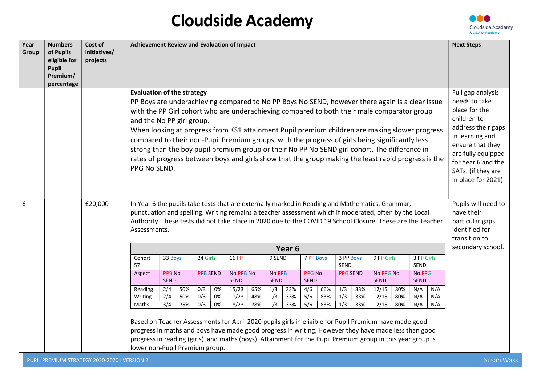

| Year<br>Group | <b>Numbers</b><br>of Pupils<br>eligible for<br><b>Pupil</b><br>Premium/<br>percentage | Cost of<br>initiatives/<br>projects | Achievement Review and Evaluation of Impact                                                                                                                                                                                                                                                                                                                   |                                                                                                                                                                                                                                                                                                                                                                                                                                                                                                                                                                                                                                                                                                                                                             |  |                 |  |                          |  |                       |                   |                              |  |                          |  |                                                                                                                                                                                                                         |                       |  | <b>Next Steps</b>                                                                       |
|---------------|---------------------------------------------------------------------------------------|-------------------------------------|---------------------------------------------------------------------------------------------------------------------------------------------------------------------------------------------------------------------------------------------------------------------------------------------------------------------------------------------------------------|-------------------------------------------------------------------------------------------------------------------------------------------------------------------------------------------------------------------------------------------------------------------------------------------------------------------------------------------------------------------------------------------------------------------------------------------------------------------------------------------------------------------------------------------------------------------------------------------------------------------------------------------------------------------------------------------------------------------------------------------------------------|--|-----------------|--|--------------------------|--|-----------------------|-------------------|------------------------------|--|--------------------------|--|-------------------------------------------------------------------------------------------------------------------------------------------------------------------------------------------------------------------------|-----------------------|--|-----------------------------------------------------------------------------------------|
|               |                                                                                       |                                     | <b>Evaluation of the strategy</b>                                                                                                                                                                                                                                                                                                                             | PP Boys are underachieving compared to No PP Boys No SEND, however there again is a clear issue<br>with the PP Girl cohort who are underachieving compared to both their male comparator group<br>and the No PP girl group.<br>When looking at progress from KS1 attainment Pupil premium children are making slower progress<br>compared to their non-Pupil Premium groups, with the progress of girls being significantly less<br>strong than the boy pupil premium group or their No PP No SEND girl cohort. The difference in<br>rates of progress between boys and girls show that the group making the least rapid progress is the<br>PPG No SEND.<br>In Year 6 the pupils take tests that are externally marked in Reading and Mathematics, Grammar, |  |                 |  |                          |  |                       |                   |                              |  |                          |  | Full gap analysis<br>needs to take<br>place for the<br>children to<br>address their gaps<br>in learning and<br>ensure that they<br>are fully equipped<br>for Year 6 and the<br>SATs. (if they are<br>in place for 2021) |                       |  |                                                                                         |
| 6             |                                                                                       | £20,000                             | punctuation and spelling. Writing remains a teacher assessment which if moderated, often by the Local<br>Authority. These tests did not take place in 2020 due to the COVID 19 School Closure. These are the Teacher<br>Assessments.                                                                                                                          |                                                                                                                                                                                                                                                                                                                                                                                                                                                                                                                                                                                                                                                                                                                                                             |  |                 |  |                          |  |                       |                   |                              |  |                          |  |                                                                                                                                                                                                                         |                       |  | Pupils will need to<br>have their<br>particular gaps<br>identified for<br>transition to |
|               |                                                                                       |                                     |                                                                                                                                                                                                                                                                                                                                                               |                                                                                                                                                                                                                                                                                                                                                                                                                                                                                                                                                                                                                                                                                                                                                             |  |                 |  |                          |  |                       | Year <sub>6</sub> |                              |  |                          |  |                                                                                                                                                                                                                         |                       |  | secondary school.                                                                       |
|               |                                                                                       |                                     | Cohort<br>57                                                                                                                                                                                                                                                                                                                                                  | 33 Boys                                                                                                                                                                                                                                                                                                                                                                                                                                                                                                                                                                                                                                                                                                                                                     |  | 24 Girls        |  | 16 PP                    |  | 9 SEND                |                   | 7 PP Boys                    |  | 3 PP Boys<br><b>SEND</b> |  | 9 PP Girls                                                                                                                                                                                                              | 3 PP Girls<br>SEND    |  |                                                                                         |
|               |                                                                                       |                                     | Aspect                                                                                                                                                                                                                                                                                                                                                        | <b>PPB No</b><br><b>SEND</b>                                                                                                                                                                                                                                                                                                                                                                                                                                                                                                                                                                                                                                                                                                                                |  | <b>PPB SEND</b> |  | No PPB No<br><b>SEND</b> |  | No PPB<br><b>SEND</b> |                   | <b>PPG No</b><br><b>SEND</b> |  | <b>PPG SEND</b>          |  | No PPG No<br><b>SEND</b>                                                                                                                                                                                                | No PPG<br><b>SEND</b> |  |                                                                                         |
|               |                                                                                       |                                     | Reading                                                                                                                                                                                                                                                                                                                                                       | 15/23<br>1/3<br>66%<br>1/3<br>12/15<br>N/A<br>2/4<br>50%<br>0/3<br>0%<br>65%<br>33%<br>4/6<br>33%<br>80%<br>N/A                                                                                                                                                                                                                                                                                                                                                                                                                                                                                                                                                                                                                                             |  |                 |  |                          |  |                       |                   |                              |  |                          |  |                                                                                                                                                                                                                         |                       |  |                                                                                         |
|               |                                                                                       |                                     | 1/3<br>N/A<br>2/4<br>50%<br>0/3<br>0%<br>11/23<br>33%<br>5/6<br>83%<br>1/3<br>N/A<br>33%<br>12/15<br>80%<br>Writing<br>48%<br>$\overline{\frac{5}{6}}$<br>3/4<br>75%<br>0/3<br>18/23<br>1/3<br>83%<br>1/3<br>12/15<br>N/A<br>N/A<br>0%<br>78%<br>33%<br>33%<br>80%<br>Maths                                                                                   |                                                                                                                                                                                                                                                                                                                                                                                                                                                                                                                                                                                                                                                                                                                                                             |  |                 |  |                          |  |                       |                   |                              |  |                          |  |                                                                                                                                                                                                                         |                       |  |                                                                                         |
|               |                                                                                       |                                     | Based on Teacher Assessments for April 2020 pupils girls in eligible for Pupil Premium have made good<br>progress in maths and boys have made good progress in writing, However they have made less than good<br>progress in reading (girls) and maths (boys). Attainment for the Pupil Premium group in this year group is<br>lower non-Pupil Premium group. |                                                                                                                                                                                                                                                                                                                                                                                                                                                                                                                                                                                                                                                                                                                                                             |  |                 |  |                          |  |                       |                   |                              |  |                          |  |                                                                                                                                                                                                                         |                       |  |                                                                                         |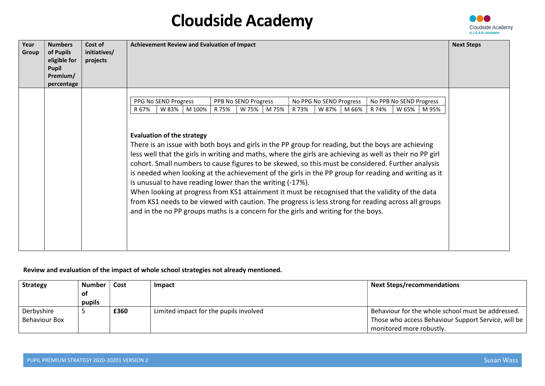

| Year<br>Group | <b>Numbers</b><br>of Pupils<br>eligible for<br><b>Pupil</b><br>Premium/<br>percentage | Cost of<br>initiatives/<br>projects | <b>Achievement Review and Evaluation of Impact</b>                                                                                                                                                                                                                                                                                                                                                                                                                                                                                                                                                                                                                                                                                                                                                                             | <b>Next Steps</b> |
|---------------|---------------------------------------------------------------------------------------|-------------------------------------|--------------------------------------------------------------------------------------------------------------------------------------------------------------------------------------------------------------------------------------------------------------------------------------------------------------------------------------------------------------------------------------------------------------------------------------------------------------------------------------------------------------------------------------------------------------------------------------------------------------------------------------------------------------------------------------------------------------------------------------------------------------------------------------------------------------------------------|-------------------|
|               |                                                                                       |                                     | PPG No SEND Progress<br>PPB No SEND Progress<br>No PPG No SEND Progress<br>No PPB No SEND Progress                                                                                                                                                                                                                                                                                                                                                                                                                                                                                                                                                                                                                                                                                                                             |                   |
|               |                                                                                       |                                     | W 83%<br>W 75%<br>M 75%<br>W 87%<br>R67%<br>M 100%<br>R 75%<br>R 73%<br>M 66%<br>R 74%<br>W 65%<br>M 95%                                                                                                                                                                                                                                                                                                                                                                                                                                                                                                                                                                                                                                                                                                                       |                   |
|               |                                                                                       |                                     | <b>Evaluation of the strategy</b><br>There is an issue with both boys and girls in the PP group for reading, but the boys are achieving<br>less well that the girls in writing and maths, where the girls are achieving as well as their no PP girl<br>cohort. Small numbers to cause figures to be skewed, so this must be considered. Further analysis<br>is needed when looking at the achievement of the girls in the PP group for reading and writing as it<br>is unusual to have reading lower than the writing (-17%).<br>When looking at progress from KS1 attainment it must be recognised that the validity of the data<br>from KS1 needs to be viewed with caution. The progress is less strong for reading across all groups<br>and in the no PP groups maths is a concern for the girls and writing for the boys. |                   |

### Review and evaluation of the impact of whole school strategies not already mentioned.

| <b>Strategy</b>      | Number | Cost | Impact                                 | <b>Next Steps/recommendations</b>                   |
|----------------------|--------|------|----------------------------------------|-----------------------------------------------------|
|                      | οt     |      |                                        |                                                     |
|                      | pupils |      |                                        |                                                     |
| Derbyshire           |        | £360 | Limited impact for the pupils involved | Behaviour for the whole school must be addressed.   |
| <b>Behaviour Box</b> |        |      |                                        | Those who access Behaviour Support Service, will be |
|                      |        |      |                                        | monitored more robustly.                            |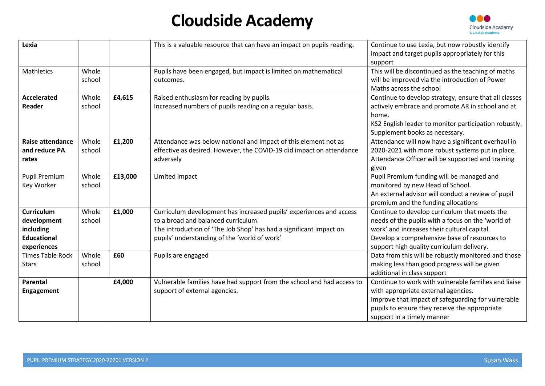

| Lexia                                                                              |                 |         | This is a valuable resource that can have an impact on pupils reading.                                                                                                                                                           | Continue to use Lexia, but now robustly identify<br>impact and target pupils appropriately for this<br>support                                                                                                                                 |
|------------------------------------------------------------------------------------|-----------------|---------|----------------------------------------------------------------------------------------------------------------------------------------------------------------------------------------------------------------------------------|------------------------------------------------------------------------------------------------------------------------------------------------------------------------------------------------------------------------------------------------|
| Mathletics                                                                         | Whole<br>school |         | Pupils have been engaged, but impact is limited on mathematical<br>outcomes.                                                                                                                                                     | This will be discontinued as the teaching of maths<br>will be improved via the introduction of Power<br>Maths across the school                                                                                                                |
| <b>Accelerated</b><br>Reader                                                       | Whole<br>school | £4,615  | Raised enthusiasm for reading by pupils.<br>Increased numbers of pupils reading on a regular basis.                                                                                                                              | Continue to develop strategy, ensure that all classes<br>actively embrace and promote AR in school and at<br>home.<br>KS2 English leader to monitor participation robustly.<br>Supplement books as necessary.                                  |
| <b>Raise attendance</b><br>and reduce PA<br>rates                                  | Whole<br>school | £1,200  | Attendance was below national and impact of this element not as<br>effective as desired. However, the COVID-19 did impact on attendance<br>adversely                                                                             | Attendance will now have a significant overhaul in<br>2020-2021 with more robust systems put in place.<br>Attendance Officer will be supported and training<br>given                                                                           |
| <b>Pupil Premium</b><br>Key Worker                                                 | Whole<br>school | £13,000 | Limited impact                                                                                                                                                                                                                   | Pupil Premium funding will be managed and<br>monitored by new Head of School.<br>An external advisor will conduct a review of pupil<br>premium and the funding allocations                                                                     |
| <b>Curriculum</b><br>development<br>including<br><b>Educational</b><br>experiences | Whole<br>school | £1,000  | Curriculum development has increased pupils' experiences and access<br>to a broad and balanced curriculum.<br>The introduction of 'The Job Shop' has had a significant impact on<br>pupils' understanding of the 'world of work' | Continue to develop curriculum that meets the<br>needs of the pupils with a focus on the 'world of<br>work' and increases their cultural capital.<br>Develop a comprehensive base of resources to<br>support high quality curriculum delivery. |
| <b>Times Table Rock</b><br><b>Stars</b>                                            | Whole<br>school | £60     | Pupils are engaged                                                                                                                                                                                                               | Data from this will be robustly monitored and those<br>making less than good progress will be given<br>additional in class support                                                                                                             |
| Parental<br><b>Engagement</b>                                                      |                 | £4,000  | Vulnerable families have had support from the school and had access to<br>support of external agencies.                                                                                                                          | Continue to work with vulnerable families and liaise<br>with appropriate external agencies.<br>Improve that impact of safeguarding for vulnerable<br>pupils to ensure they receive the appropriate<br>support in a timely manner               |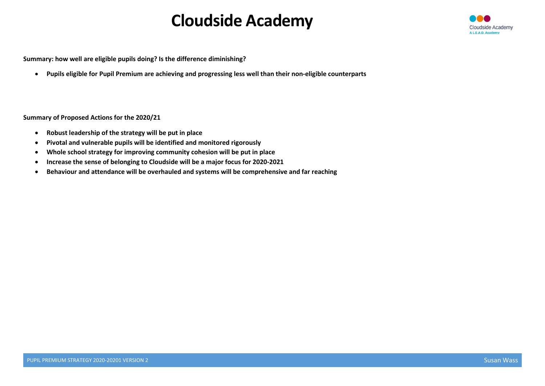

Summary: how well are eligible pupils doing? Is the difference diminishing?

Pupils eligible for Pupil Premium are achieving and progressing less well than their non-eligible counterparts

#### Summary of Proposed Actions for the 2020/21

- Robust leadership of the strategy will be put in place
- Pivotal and vulnerable pupils will be identified and monitored rigorously
- Whole school strategy for improving community cohesion will be put in place
- Increase the sense of belonging to Cloudside will be a major focus for 2020-2021
- Behaviour and attendance will be overhauled and systems will be comprehensive and far reaching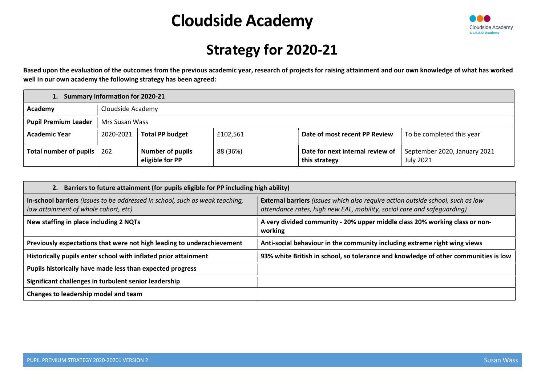

## Strategy for 2020-21

Based upon the evaluation of the outcomes from the previous academic year, research of projects for raising attainment and our own knowledge of what has worked well in our own academy the following strategy has been agreed:

|                              | 1. Summary information for 2020-21 |                                            |          |                                                   |                                                  |  |  |  |  |  |  |  |  |
|------------------------------|------------------------------------|--------------------------------------------|----------|---------------------------------------------------|--------------------------------------------------|--|--|--|--|--|--|--|--|
| Academy                      | Cloudside Academy                  |                                            |          |                                                   |                                                  |  |  |  |  |  |  |  |  |
| <b>Pupil Premium Leader</b>  | Mrs Susan Wass                     |                                            |          |                                                   |                                                  |  |  |  |  |  |  |  |  |
| <b>Academic Year</b>         | 2020-2021                          | <b>Total PP budget</b>                     | £102,561 | Date of most recent PP Review                     | To be completed this year                        |  |  |  |  |  |  |  |  |
| Total number of pupils   262 |                                    | <b>Number of pupils</b><br>eligible for PP | 88 (36%) | Date for next internal review of<br>this strategy | September 2020, January 2021<br><b>July 2021</b> |  |  |  |  |  |  |  |  |

| 2. Barriers to future attainment (for pupils eligible for PP including high ability)                                 |                                                                                                                                                            |  |  |  |  |  |  |  |  |  |
|----------------------------------------------------------------------------------------------------------------------|------------------------------------------------------------------------------------------------------------------------------------------------------------|--|--|--|--|--|--|--|--|--|
| In-school barriers (issues to be addressed in school, such as weak teaching,<br>low attainment of whole cohort, etc) | External barriers (issues which also require action outside school, such as low<br>attendance rates, high new EAL, mobility, social care and safeguarding) |  |  |  |  |  |  |  |  |  |
| New staffing in place including 2 NQTs                                                                               | A very divided community - 20% upper middle class 20% working class or non-<br>working                                                                     |  |  |  |  |  |  |  |  |  |
| Previously expectations that were not high leading to underachievement                                               | Anti-social behaviour in the community including extreme right wing views                                                                                  |  |  |  |  |  |  |  |  |  |
| Historically pupils enter school with inflated prior attainment                                                      | 93% white British in school, so tolerance and knowledge of other communities is low                                                                        |  |  |  |  |  |  |  |  |  |
| Pupils historically have made less than expected progress                                                            |                                                                                                                                                            |  |  |  |  |  |  |  |  |  |
| Significant challenges in turbulent senior leadership                                                                |                                                                                                                                                            |  |  |  |  |  |  |  |  |  |
| Changes to leadership model and team                                                                                 |                                                                                                                                                            |  |  |  |  |  |  |  |  |  |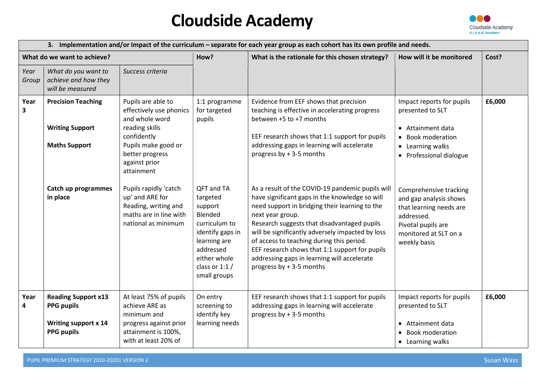

|               | 3. Implementation and/or Impact of the curriculum – separate for each year group as each cohort has its own profile and needs. |                                                                                                                                                                           |                                                                                                                                                                   |                                                                                                                                                                                                                                                                                                                                                                                                                                                       |                                                                                                                                                          |        |  |  |  |  |
|---------------|--------------------------------------------------------------------------------------------------------------------------------|---------------------------------------------------------------------------------------------------------------------------------------------------------------------------|-------------------------------------------------------------------------------------------------------------------------------------------------------------------|-------------------------------------------------------------------------------------------------------------------------------------------------------------------------------------------------------------------------------------------------------------------------------------------------------------------------------------------------------------------------------------------------------------------------------------------------------|----------------------------------------------------------------------------------------------------------------------------------------------------------|--------|--|--|--|--|
|               | What do we want to achieve?                                                                                                    |                                                                                                                                                                           | How?                                                                                                                                                              | What is the rationale for this chosen strategy?                                                                                                                                                                                                                                                                                                                                                                                                       | How will it be monitored                                                                                                                                 | Cost?  |  |  |  |  |
| Year<br>Group | What do you want to<br>achieve and how they<br>will be measured                                                                | Success criteria                                                                                                                                                          |                                                                                                                                                                   |                                                                                                                                                                                                                                                                                                                                                                                                                                                       |                                                                                                                                                          |        |  |  |  |  |
| Year<br>3     | <b>Precision Teaching</b><br><b>Writing Support</b><br><b>Maths Support</b>                                                    | Pupils are able to<br>effectively use phonics<br>and whole word<br>reading skills<br>confidently<br>Pupils make good or<br>better progress<br>against prior<br>attainment | 1:1 programme<br>for targeted<br>pupils                                                                                                                           | Evidence from EEF shows that precision<br>teaching is effective in accelerating progress<br>between +5 to +7 months<br>EEF research shows that 1:1 support for pupils<br>addressing gaps in learning will accelerate<br>progress by + 3-5 months                                                                                                                                                                                                      | Impact reports for pupils<br>presented to SLT<br>• Attainment data<br>• Book moderation<br>• Learning walks<br>• Professional dialogue                   | £6,000 |  |  |  |  |
|               | Catch up programmes<br>in place                                                                                                | Pupils rapidly 'catch<br>up' and ARE for<br>Reading, writing and<br>maths are in line with<br>national as minimum                                                         | QFT and TA<br>targeted<br>support<br>Blended<br>curriculum to<br>identify gaps in<br>learning are<br>addressed<br>either whole<br>class or $1:1/$<br>small groups | As a result of the COVID-19 pandemic pupils will<br>have significant gaps in the knowledge so will<br>need support in bridging their learning to the<br>next year group.<br>Research suggests that disadvantaged pupils<br>will be significantly adversely impacted by loss<br>of access to teaching during this period.<br>EEF research shows that 1:1 support for pupils<br>addressing gaps in learning will accelerate<br>progress by + 3-5 months | Comprehensive tracking<br>and gap analysis shows<br>that learning needs are<br>addressed.<br>Pivotal pupils are<br>monitored at SLT on a<br>weekly basis |        |  |  |  |  |
| Year<br>4     | <b>Reading Support x13</b><br><b>PPG pupils</b><br>Writing support x 14<br><b>PPG pupils</b>                                   | At least 75% of pupils<br>achieve ARE as<br>minimum and<br>progress against prior<br>attainment is 100%,<br>with at least 20% of                                          | On entry<br>screening to<br>identify key<br>learning needs                                                                                                        | EEF research shows that 1:1 support for pupils<br>addressing gaps in learning will accelerate<br>progress by + 3-5 months                                                                                                                                                                                                                                                                                                                             | Impact reports for pupils<br>presented to SLT<br>Attainment data<br>• Book moderation<br>• Learning walks                                                | £6,000 |  |  |  |  |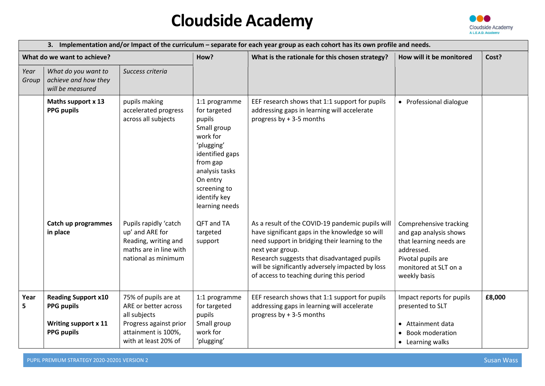

|               |                                                                                                     |                                                                                                                                       |                                                                                                                                                                                                               | 3. Implementation and/or Impact of the curriculum – separate for each year group as each cohort has its own profile and needs.                                                                                                                                      |                                                                                                                                                          |        |
|---------------|-----------------------------------------------------------------------------------------------------|---------------------------------------------------------------------------------------------------------------------------------------|---------------------------------------------------------------------------------------------------------------------------------------------------------------------------------------------------------------|---------------------------------------------------------------------------------------------------------------------------------------------------------------------------------------------------------------------------------------------------------------------|----------------------------------------------------------------------------------------------------------------------------------------------------------|--------|
|               | What do we want to achieve?                                                                         |                                                                                                                                       | How?                                                                                                                                                                                                          | What is the rationale for this chosen strategy?                                                                                                                                                                                                                     | How will it be monitored                                                                                                                                 | Cost?  |
| Year<br>Group | What do you want to<br>achieve and how they<br>will be measured                                     | Success criteria                                                                                                                      |                                                                                                                                                                                                               |                                                                                                                                                                                                                                                                     |                                                                                                                                                          |        |
|               | Maths support x 13<br><b>PPG pupils</b><br>Catch up programmes                                      | pupils making<br>accelerated progress<br>across all subjects<br>Pupils rapidly 'catch                                                 | 1:1 programme<br>for targeted<br>pupils<br>Small group<br>work for<br>'plugging'<br>identified gaps<br>from gap<br>analysis tasks<br>On entry<br>screening to<br>identify key<br>learning needs<br>QFT and TA | EEF research shows that 1:1 support for pupils<br>addressing gaps in learning will accelerate<br>progress by + 3-5 months<br>As a result of the COVID-19 pandemic pupils will                                                                                       | • Professional dialogue                                                                                                                                  |        |
|               | in place                                                                                            | up' and ARE for<br>Reading, writing and<br>maths are in line with<br>national as minimum                                              | targeted<br>support                                                                                                                                                                                           | have significant gaps in the knowledge so will<br>need support in bridging their learning to the<br>next year group.<br>Research suggests that disadvantaged pupils<br>will be significantly adversely impacted by loss<br>of access to teaching during this period | Comprehensive tracking<br>and gap analysis shows<br>that learning needs are<br>addressed.<br>Pivotal pupils are<br>monitored at SLT on a<br>weekly basis |        |
| Year<br>5     | <b>Reading Support x10</b><br><b>PPG pupils</b><br><b>Writing support x 11</b><br><b>PPG pupils</b> | 75% of pupils are at<br>ARE or better across<br>all subjects<br>Progress against prior<br>attainment is 100%,<br>with at least 20% of | 1:1 programme<br>for targeted<br>pupils<br>Small group<br>work for<br>'plugging'                                                                                                                              | EEF research shows that 1:1 support for pupils<br>addressing gaps in learning will accelerate<br>progress by + 3-5 months                                                                                                                                           | Impact reports for pupils<br>presented to SLT<br>Attainment data<br><b>Book moderation</b><br>• Learning walks                                           | £8,000 |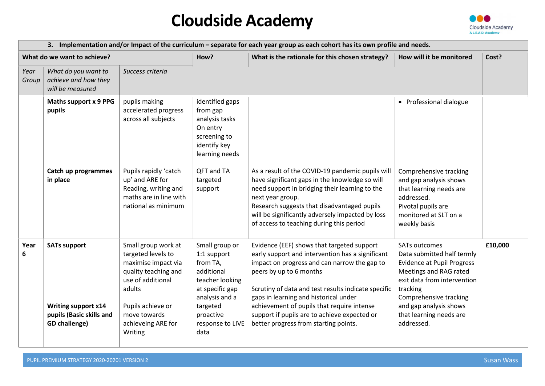

| 3. Implementation and/or Impact of the curriculum – separate for each year group as each cohort has its own profile and needs. |                                                                                                       |                                                                                                                                                                                               |                                                                                                                                                                      |                                                                                                                                                                                                                                                                                                                                                                                                                  |                                                                                                                                                                                                                                                           |         |  |
|--------------------------------------------------------------------------------------------------------------------------------|-------------------------------------------------------------------------------------------------------|-----------------------------------------------------------------------------------------------------------------------------------------------------------------------------------------------|----------------------------------------------------------------------------------------------------------------------------------------------------------------------|------------------------------------------------------------------------------------------------------------------------------------------------------------------------------------------------------------------------------------------------------------------------------------------------------------------------------------------------------------------------------------------------------------------|-----------------------------------------------------------------------------------------------------------------------------------------------------------------------------------------------------------------------------------------------------------|---------|--|
|                                                                                                                                | What do we want to achieve?                                                                           |                                                                                                                                                                                               | How?                                                                                                                                                                 | What is the rationale for this chosen strategy?                                                                                                                                                                                                                                                                                                                                                                  | How will it be monitored                                                                                                                                                                                                                                  | Cost?   |  |
| Year<br>Group                                                                                                                  | Success criteria<br>What do you want to<br>achieve and how they<br>will be measured                   |                                                                                                                                                                                               |                                                                                                                                                                      |                                                                                                                                                                                                                                                                                                                                                                                                                  |                                                                                                                                                                                                                                                           |         |  |
|                                                                                                                                | Maths support x 9 PPG<br>pupils                                                                       | pupils making<br>accelerated progress<br>across all subjects                                                                                                                                  | identified gaps<br>from gap<br>analysis tasks<br>On entry<br>screening to<br>identify key<br>learning needs                                                          |                                                                                                                                                                                                                                                                                                                                                                                                                  | • Professional dialogue                                                                                                                                                                                                                                   |         |  |
|                                                                                                                                | Catch up programmes<br>in place                                                                       | Pupils rapidly 'catch<br>up' and ARE for<br>Reading, writing and<br>maths are in line with<br>national as minimum                                                                             | QFT and TA<br>targeted<br>support                                                                                                                                    | As a result of the COVID-19 pandemic pupils will<br>have significant gaps in the knowledge so will<br>need support in bridging their learning to the<br>next year group.<br>Research suggests that disadvantaged pupils<br>will be significantly adversely impacted by loss<br>of access to teaching during this period                                                                                          | Comprehensive tracking<br>and gap analysis shows<br>that learning needs are<br>addressed.<br>Pivotal pupils are<br>monitored at SLT on a<br>weekly basis                                                                                                  |         |  |
| Year<br>6                                                                                                                      | <b>SATs support</b><br><b>Writing support x14</b><br>pupils (Basic skills and<br><b>GD</b> challenge) | Small group work at<br>targeted levels to<br>maximise impact via<br>quality teaching and<br>use of additional<br>adults<br>Pupils achieve or<br>move towards<br>achieveing ARE for<br>Writing | Small group or<br>1:1 support<br>from TA,<br>additional<br>teacher looking<br>at specific gap<br>analysis and a<br>targeted<br>proactive<br>response to LIVE<br>data | Evidence (EEF) shows that targeted support<br>early support and intervention has a significant<br>impact on progress and can narrow the gap to<br>peers by up to 6 months<br>Scrutiny of data and test results indicate specific<br>gaps in learning and historical under<br>achievement of pupils that require intense<br>support if pupils are to achieve expected or<br>better progress from starting points. | <b>SATs outcomes</b><br>Data submitted half termly<br><b>Evidence at Pupil Progress</b><br>Meetings and RAG rated<br>exit data from intervention<br>tracking<br>Comprehensive tracking<br>and gap analysis shows<br>that learning needs are<br>addressed. | £10,000 |  |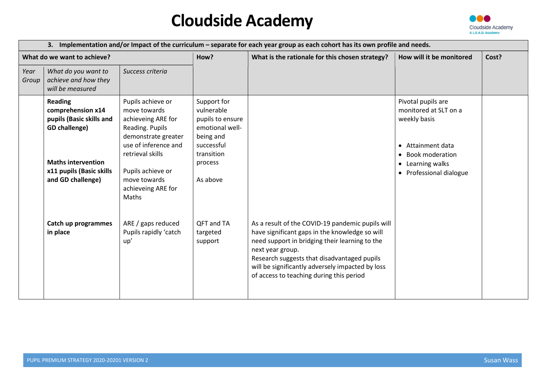

| 3. Implementation and/or Impact of the curriculum – separate for each year group as each cohort has its own profile and needs. |                                                                                         |                                                                                                                                               |                                                                                                           |                                                                                                                                                                                                                                                                                                                         |                                                                                                       |       |  |
|--------------------------------------------------------------------------------------------------------------------------------|-----------------------------------------------------------------------------------------|-----------------------------------------------------------------------------------------------------------------------------------------------|-----------------------------------------------------------------------------------------------------------|-------------------------------------------------------------------------------------------------------------------------------------------------------------------------------------------------------------------------------------------------------------------------------------------------------------------------|-------------------------------------------------------------------------------------------------------|-------|--|
| What do we want to achieve?                                                                                                    |                                                                                         |                                                                                                                                               | How?                                                                                                      | What is the rationale for this chosen strategy?                                                                                                                                                                                                                                                                         | How will it be monitored                                                                              | Cost? |  |
| Year<br>Group                                                                                                                  | What do you want to<br>Success criteria<br>achieve and how they<br>will be measured     |                                                                                                                                               |                                                                                                           |                                                                                                                                                                                                                                                                                                                         |                                                                                                       |       |  |
|                                                                                                                                | <b>Reading</b><br>comprehension x14<br>pupils (Basic skills and<br><b>GD</b> challenge) | Pupils achieve or<br>move towards<br>achieveing ARE for<br>Reading. Pupils<br>demonstrate greater<br>use of inference and<br>retrieval skills | Support for<br>vulnerable<br>pupils to ensure<br>emotional well-<br>being and<br>successful<br>transition |                                                                                                                                                                                                                                                                                                                         | Pivotal pupils are<br>monitored at SLT on a<br>weekly basis<br>• Attainment data<br>• Book moderation |       |  |
|                                                                                                                                | <b>Maths intervention</b><br>x11 pupils (Basic skills<br>and GD challenge)              | Pupils achieve or<br>move towards<br>achieveing ARE for<br>Maths                                                                              | process<br>As above                                                                                       |                                                                                                                                                                                                                                                                                                                         | • Learning walks<br>• Professional dialogue                                                           |       |  |
|                                                                                                                                | Catch up programmes<br>in place                                                         | ARE / gaps reduced<br>Pupils rapidly 'catch<br>up'                                                                                            | QFT and TA<br>targeted<br>support                                                                         | As a result of the COVID-19 pandemic pupils will<br>have significant gaps in the knowledge so will<br>need support in bridging their learning to the<br>next year group.<br>Research suggests that disadvantaged pupils<br>will be significantly adversely impacted by loss<br>of access to teaching during this period |                                                                                                       |       |  |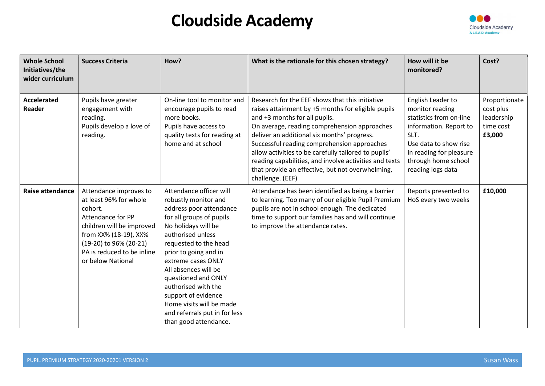

| <b>Whole School</b><br>Initiatives/the<br>wider curriculum | <b>Success Criteria</b>                                                                                                                                                                                             | How?                                                                                                                                                                                                                                                                                                                                                                                                           | What is the rationale for this chosen strategy?                                                                                                                                                                                                                                                                                                                                                                                                                                | How will it be<br>monitored?                                                                                                                                                                      | Cost?                                                           |
|------------------------------------------------------------|---------------------------------------------------------------------------------------------------------------------------------------------------------------------------------------------------------------------|----------------------------------------------------------------------------------------------------------------------------------------------------------------------------------------------------------------------------------------------------------------------------------------------------------------------------------------------------------------------------------------------------------------|--------------------------------------------------------------------------------------------------------------------------------------------------------------------------------------------------------------------------------------------------------------------------------------------------------------------------------------------------------------------------------------------------------------------------------------------------------------------------------|---------------------------------------------------------------------------------------------------------------------------------------------------------------------------------------------------|-----------------------------------------------------------------|
| <b>Accelerated</b><br>Reader                               | Pupils have greater<br>engagement with<br>reading.<br>Pupils develop a love of<br>reading.                                                                                                                          | On-line tool to monitor and<br>encourage pupils to read<br>more books.<br>Pupils have access to<br>quality texts for reading at<br>home and at school                                                                                                                                                                                                                                                          | Research for the EEF shows that this initiative<br>raises attainment by +5 months for eligible pupils<br>and +3 months for all pupils.<br>On average, reading comprehension approaches<br>deliver an additional six months' progress.<br>Successful reading comprehension approaches<br>allow activities to be carefully tailored to pupils'<br>reading capabilities, and involve activities and texts<br>that provide an effective, but not overwhelming,<br>challenge. (EEF) | English Leader to<br>monitor reading<br>statistics from on-line<br>information. Report to<br>SLT.<br>Use data to show rise<br>in reading for pleasure<br>through home school<br>reading logs data | Proportionate<br>cost plus<br>leadership<br>time cost<br>£3,000 |
| <b>Raise attendance</b>                                    | Attendance improves to<br>at least 96% for whole<br>cohort.<br>Attendance for PP<br>children will be improved<br>from XX% (18-19), XX%<br>(19-20) to 96% (20-21)<br>PA is reduced to be inline<br>or below National | Attendance officer will<br>robustly monitor and<br>address poor attendance<br>for all groups of pupils.<br>No holidays will be<br>authorised unless<br>requested to the head<br>prior to going and in<br>extreme cases ONLY<br>All absences will be<br>questioned and ONLY<br>authorised with the<br>support of evidence<br>Home visits will be made<br>and referrals put in for less<br>than good attendance. | Attendance has been identified as being a barrier<br>to learning. Too many of our eligible Pupil Premium<br>pupils are not in school enough. The dedicated<br>time to support our families has and will continue<br>to improve the attendance rates.                                                                                                                                                                                                                           | Reports presented to<br>HoS every two weeks                                                                                                                                                       | £10,000                                                         |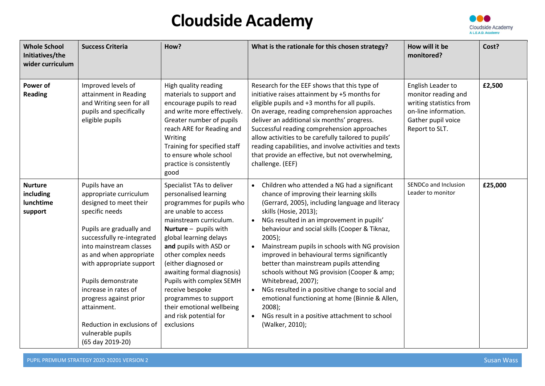

| <b>Whole School</b><br>Initiatives/the<br>wider curriculum | <b>Success Criteria</b>                                                                                                                                                                                                                                                                                                                                                                        | How?                                                                                                                                                                                                                                                                                                                                                                                                                                     | What is the rationale for this chosen strategy?                                                                                                                                                                                                                                                                                                                                                                                                                                                                                                                                                                                                                                                                                                           | How will it be<br>monitored?                                                                                                        | Cost?   |
|------------------------------------------------------------|------------------------------------------------------------------------------------------------------------------------------------------------------------------------------------------------------------------------------------------------------------------------------------------------------------------------------------------------------------------------------------------------|------------------------------------------------------------------------------------------------------------------------------------------------------------------------------------------------------------------------------------------------------------------------------------------------------------------------------------------------------------------------------------------------------------------------------------------|-----------------------------------------------------------------------------------------------------------------------------------------------------------------------------------------------------------------------------------------------------------------------------------------------------------------------------------------------------------------------------------------------------------------------------------------------------------------------------------------------------------------------------------------------------------------------------------------------------------------------------------------------------------------------------------------------------------------------------------------------------------|-------------------------------------------------------------------------------------------------------------------------------------|---------|
| Power of<br><b>Reading</b>                                 | Improved levels of<br>attainment in Reading<br>and Writing seen for all<br>pupils and specifically<br>eligible pupils                                                                                                                                                                                                                                                                          | High quality reading<br>materials to support and<br>encourage pupils to read<br>and write more effectively.<br>Greater number of pupils<br>reach ARE for Reading and<br>Writing<br>Training for specified staff<br>to ensure whole school<br>practice is consistently<br>good                                                                                                                                                            | Research for the EEF shows that this type of<br>initiative raises attainment by +5 months for<br>eligible pupils and +3 months for all pupils.<br>On average, reading comprehension approaches<br>deliver an additional six months' progress.<br>Successful reading comprehension approaches<br>allow activities to be carefully tailored to pupils'<br>reading capabilities, and involve activities and texts<br>that provide an effective, but not overwhelming,<br>challenge. (EEF)                                                                                                                                                                                                                                                                    | English Leader to<br>monitor reading and<br>writing statistics from<br>on-line information.<br>Gather pupil voice<br>Report to SLT. | £2,500  |
| <b>Nurture</b><br>including<br>lunchtime<br>support        | Pupils have an<br>appropriate curriculum<br>designed to meet their<br>specific needs<br>Pupils are gradually and<br>successfully re-integrated<br>into mainstream classes<br>as and when appropriate<br>with appropriate support<br>Pupils demonstrate<br>increase in rates of<br>progress against prior<br>attainment.<br>Reduction in exclusions of<br>vulnerable pupils<br>(65 day 2019-20) | Specialist TAs to deliver<br>personalised learning<br>programmes for pupils who<br>are unable to access<br>mainstream curriculum.<br>Nurture - pupils with<br>global learning delays<br>and pupils with ASD or<br>other complex needs<br>(either diagnosed or<br>awaiting formal diagnosis)<br>Pupils with complex SEMH<br>receive bespoke<br>programmes to support<br>their emotional wellbeing<br>and risk potential for<br>exclusions | Children who attended a NG had a significant<br>$\bullet$<br>chance of improving their learning skills<br>(Gerrard, 2005), including language and literacy<br>skills (Hosie, 2013);<br>NGs resulted in an improvement in pupils'<br>$\bullet$<br>behaviour and social skills (Cooper & Tiknaz,<br>$2005$ );<br>Mainstream pupils in schools with NG provision<br>$\bullet$<br>improved in behavioural terms significantly<br>better than mainstream pupils attending<br>schools without NG provision (Cooper & amp;<br>Whitebread, 2007);<br>NGs resulted in a positive change to social and<br>$\bullet$<br>emotional functioning at home (Binnie & Allen,<br>$2008$ );<br>NGs result in a positive attachment to school<br>$\bullet$<br>(Walker, 2010); | SENDCo and Inclusion<br>Leader to monitor                                                                                           | £25,000 |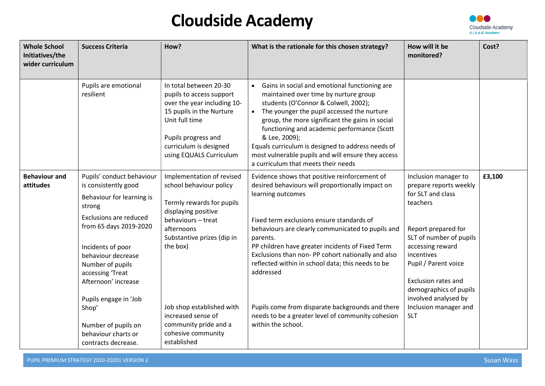

| <b>Whole School</b><br>Initiatives/the<br>wider curriculum | <b>Success Criteria</b>                                                                                                                                                                                                                                                                  | How?                                                                                                                                                                                                                                      | What is the rationale for this chosen strategy?                                                                                                                                                                                                                                                                                                                                                                                                                             | How will it be<br>monitored?                                                                                                                                                                                                                                                                                | Cost?  |
|------------------------------------------------------------|------------------------------------------------------------------------------------------------------------------------------------------------------------------------------------------------------------------------------------------------------------------------------------------|-------------------------------------------------------------------------------------------------------------------------------------------------------------------------------------------------------------------------------------------|-----------------------------------------------------------------------------------------------------------------------------------------------------------------------------------------------------------------------------------------------------------------------------------------------------------------------------------------------------------------------------------------------------------------------------------------------------------------------------|-------------------------------------------------------------------------------------------------------------------------------------------------------------------------------------------------------------------------------------------------------------------------------------------------------------|--------|
|                                                            | Pupils are emotional<br>resilient                                                                                                                                                                                                                                                        | In total between 20-30<br>pupils to access support<br>over the year including 10-<br>15 pupils in the Nurture<br>Unit full time<br>Pupils progress and<br>curriculum is designed<br>using EQUALS Curriculum                               | Gains in social and emotional functioning are<br>$\bullet$<br>maintained over time by nurture group<br>students (O'Connor & Colwell, 2002);<br>The younger the pupil accessed the nurture<br>$\bullet$<br>group, the more significant the gains in social<br>functioning and academic performance (Scott<br>& Lee, 2009);<br>Equals curriculum is designed to address needs of<br>most vulnerable pupils and will ensure they access<br>a curriculum that meets their needs |                                                                                                                                                                                                                                                                                                             |        |
| <b>Behaviour and</b><br>attitudes                          | Pupils' conduct behaviour<br>is consistently good<br>Behaviour for learning is<br>strong<br>Exclusions are reduced<br>from 65 days 2019-2020<br>Incidents of poor<br>behaviour decrease<br>Number of pupils<br>accessing 'Treat<br>Afternoon' increase<br>Pupils engage in 'Job<br>Shop' | Implementation of revised<br>school behaviour policy<br>Termly rewards for pupils<br>displaying positive<br>behaviours - treat<br>afternoons<br>Substantive prizes (dip in<br>the box)<br>Job shop established with<br>increased sense of | Evidence shows that positive reinforcement of<br>desired behaviours will proportionally impact on<br>learning outcomes<br>Fixed term exclusions ensure standards of<br>behaviours are clearly communicated to pupils and<br>parents.<br>PP children have greater incidents of Fixed Term<br>Exclusions than non- PP cohort nationally and also<br>reflected within in school data; this needs to be<br>addressed<br>Pupils come from disparate backgrounds and there        | Inclusion manager to<br>prepare reports weekly<br>for SLT and class<br>teachers<br>Report prepared for<br>SLT of number of pupils<br>accessing reward<br>incentives<br>Pupil / Parent voice<br>Exclusion rates and<br>demographics of pupils<br>involved analysed by<br>Inclusion manager and<br><b>SLT</b> | £3,100 |
|                                                            | Number of pupils on<br>behaviour charts or<br>contracts decrease.                                                                                                                                                                                                                        | community pride and a<br>cohesive community<br>established                                                                                                                                                                                | needs to be a greater level of community cohesion<br>within the school.                                                                                                                                                                                                                                                                                                                                                                                                     |                                                                                                                                                                                                                                                                                                             |        |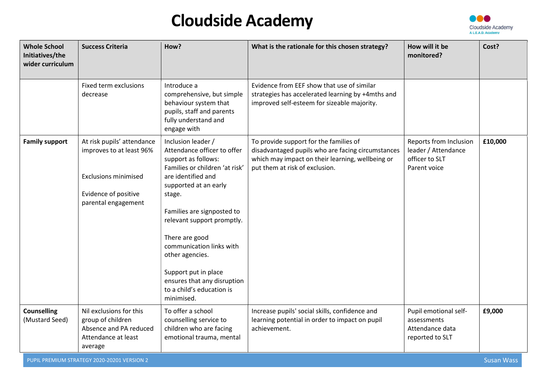

| <b>Whole School</b><br>Initiatives/the<br>wider curriculum | <b>Success Criteria</b>                                                                                                              | How?                                                                                                                                                                                                                                                                                                                                                                                               | What is the rationale for this chosen strategy?                                                                                                                                   | How will it be<br>monitored?                                                    | Cost?             |
|------------------------------------------------------------|--------------------------------------------------------------------------------------------------------------------------------------|----------------------------------------------------------------------------------------------------------------------------------------------------------------------------------------------------------------------------------------------------------------------------------------------------------------------------------------------------------------------------------------------------|-----------------------------------------------------------------------------------------------------------------------------------------------------------------------------------|---------------------------------------------------------------------------------|-------------------|
|                                                            | Fixed term exclusions<br>decrease                                                                                                    | Introduce a<br>comprehensive, but simple<br>behaviour system that<br>pupils, staff and parents<br>fully understand and<br>engage with                                                                                                                                                                                                                                                              | Evidence from EEF show that use of similar<br>strategies has accelerated learning by +4mths and<br>improved self-esteem for sizeable majority.                                    |                                                                                 |                   |
| <b>Family support</b>                                      | At risk pupils' attendance<br>improves to at least 96%<br><b>Exclusions minimised</b><br>Evidence of positive<br>parental engagement | Inclusion leader /<br>Attendance officer to offer<br>support as follows:<br>Families or children 'at risk'<br>are identified and<br>supported at an early<br>stage.<br>Families are signposted to<br>relevant support promptly.<br>There are good<br>communication links with<br>other agencies.<br>Support put in place<br>ensures that any disruption<br>to a child's education is<br>minimised. | To provide support for the families of<br>disadvantaged pupils who are facing circumstances<br>which may impact on their learning, wellbeing or<br>put them at risk of exclusion. | Reports from Inclusion<br>leader / Attendance<br>officer to SLT<br>Parent voice | £10,000           |
| <b>Counselling</b><br>(Mustard Seed)                       | Nil exclusions for this<br>group of children<br>Absence and PA reduced<br>Attendance at least<br>average                             | To offer a school<br>counselling service to<br>children who are facing<br>emotional trauma, mental                                                                                                                                                                                                                                                                                                 | Increase pupils' social skills, confidence and<br>learning potential in order to impact on pupil<br>achievement.                                                                  | Pupil emotional self-<br>assessments<br>Attendance data<br>reported to SLT      | £9,000            |
|                                                            | PUPIL PREMIUM STRATEGY 2020-20201 VERSION 2                                                                                          |                                                                                                                                                                                                                                                                                                                                                                                                    |                                                                                                                                                                                   |                                                                                 | <b>Susan Wass</b> |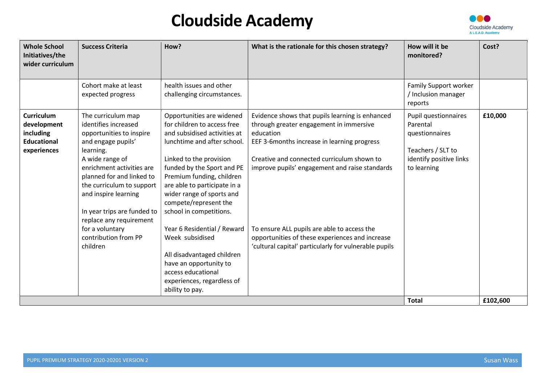

| <b>Whole School</b><br>Initiatives/the<br>wider curriculum                         | <b>Success Criteria</b>                                                                                                                                                                                                                                                                                                                                      | How?                                                                                                                                                                                                                                                                                                                                                                                                                                                                                                            | What is the rationale for this chosen strategy?                                                                                                                                                                                                                                                                                                                                                                   | How will it be<br>monitored?                                                                                      | Cost?    |
|------------------------------------------------------------------------------------|--------------------------------------------------------------------------------------------------------------------------------------------------------------------------------------------------------------------------------------------------------------------------------------------------------------------------------------------------------------|-----------------------------------------------------------------------------------------------------------------------------------------------------------------------------------------------------------------------------------------------------------------------------------------------------------------------------------------------------------------------------------------------------------------------------------------------------------------------------------------------------------------|-------------------------------------------------------------------------------------------------------------------------------------------------------------------------------------------------------------------------------------------------------------------------------------------------------------------------------------------------------------------------------------------------------------------|-------------------------------------------------------------------------------------------------------------------|----------|
|                                                                                    | Cohort make at least<br>expected progress                                                                                                                                                                                                                                                                                                                    | health issues and other<br>challenging circumstances.                                                                                                                                                                                                                                                                                                                                                                                                                                                           |                                                                                                                                                                                                                                                                                                                                                                                                                   | Family Support worker<br>/ Inclusion manager<br>reports                                                           |          |
| <b>Curriculum</b><br>development<br>including<br><b>Educational</b><br>experiences | The curriculum map<br>identifies increased<br>opportunities to inspire<br>and engage pupils'<br>learning.<br>A wide range of<br>enrichment activities are<br>planned for and linked to<br>the curriculum to support<br>and inspire learning<br>In year trips are funded to<br>replace any requirement<br>for a voluntary<br>contribution from PP<br>children | Opportunities are widened<br>for children to access free<br>and subsidised activities at<br>lunchtime and after school.<br>Linked to the provision<br>funded by the Sport and PE<br>Premium funding, children<br>are able to participate in a<br>wider range of sports and<br>compete/represent the<br>school in competitions.<br>Year 6 Residential / Reward<br>Week subsidised<br>All disadvantaged children<br>have an opportunity to<br>access educational<br>experiences, regardless of<br>ability to pay. | Evidence shows that pupils learning is enhanced<br>through greater engagement in immersive<br>education<br>EEF 3-6months increase in learning progress<br>Creative and connected curriculum shown to<br>improve pupils' engagement and raise standards<br>To ensure ALL pupils are able to access the<br>opportunities of these experiences and increase<br>'cultural capital' particularly for vulnerable pupils | Pupil questionnaires<br>Parental<br>questionnaires<br>Teachers / SLT to<br>identify positive links<br>to learning | £10,000  |
|                                                                                    |                                                                                                                                                                                                                                                                                                                                                              |                                                                                                                                                                                                                                                                                                                                                                                                                                                                                                                 |                                                                                                                                                                                                                                                                                                                                                                                                                   | <b>Total</b>                                                                                                      | £102,600 |